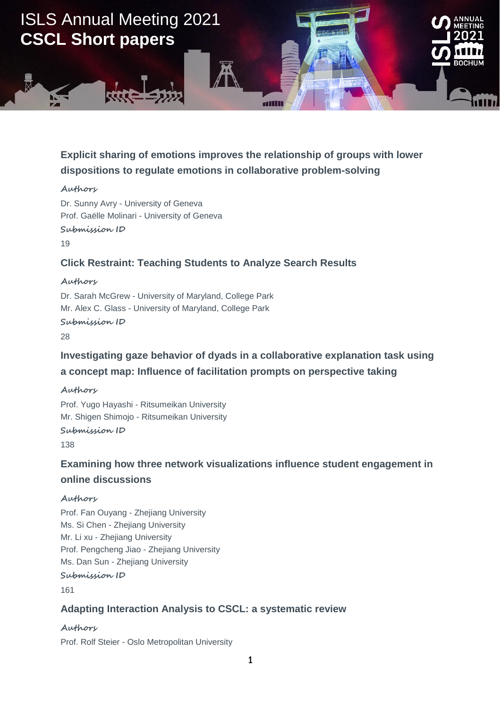

## **Explicit sharing of emotions improves the relationship of groups with lower dispositions to regulate emotions in collaborative problem-solving**

#### **Authors**

Dr. Sunny Avry - University of Geneva Prof. Gaëlle Molinari - University of Geneva **Submission ID**

19

### **Click Restraint: Teaching Students to Analyze Search Results**

**Authors**

Dr. Sarah McGrew - University of Maryland, College Park Mr. Alex C. Glass - University of Maryland, College Park **Submission ID**

28

## **Investigating gaze behavior of dyads in a collaborative explanation task using a concept map: Influence of facilitation prompts on perspective taking**

#### **Authors**

Prof. Yugo Hayashi - Ritsumeikan University Mr. Shigen Shimojo - Ritsumeikan University **Submission ID**

138

## **Examining how three network visualizations influence student engagement in online discussions**

#### **Authors**

Prof. Fan Ouyang - Zhejiang University Ms. Si Chen - Zhejiang University Mr. Li xu - Zhejiang University Prof. Pengcheng Jiao - Zhejiang University Ms. Dan Sun - Zhejiang University **Submission ID**

161

### **Adapting Interaction Analysis to CSCL: a systematic review**

### **Authors**

Prof. Rolf Steier - Oslo Metropolitan University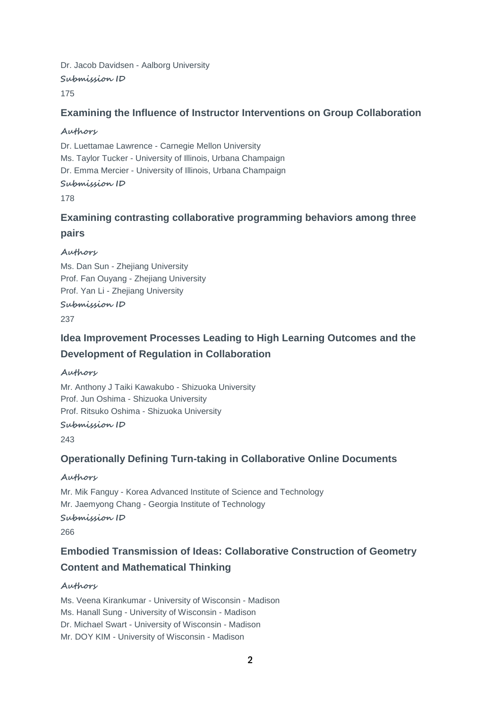Dr. Jacob Davidsen - Aalborg University **Submission ID**

### 175

### **Examining the Influence of Instructor Interventions on Group Collaboration**

#### **Authors**

Dr. Luettamae Lawrence - Carnegie Mellon University Ms. Taylor Tucker - University of Illinois, Urbana Champaign Dr. Emma Mercier - University of Illinois, Urbana Champaign

### **Submission ID**

178

## **Examining contrasting collaborative programming behaviors among three pairs**

### **Authors**

Ms. Dan Sun - Zhejiang University Prof. Fan Ouyang - Zhejiang University Prof. Yan Li - Zhejiang University **Submission ID**

237

## **Idea Improvement Processes Leading to High Learning Outcomes and the Development of Regulation in Collaboration**

### **Authors**

Mr. Anthony J Taiki Kawakubo - Shizuoka University Prof. Jun Oshima - Shizuoka University Prof. Ritsuko Oshima - Shizuoka University

### **Submission ID**

243

### **Operationally Defining Turn-taking in Collaborative Online Documents**

### **Authors**

Mr. Mik Fanguy - Korea Advanced Institute of Science and Technology Mr. Jaemyong Chang - Georgia Institute of Technology

### **Submission ID**

266

# **Embodied Transmission of Ideas: Collaborative Construction of Geometry Content and Mathematical Thinking**

### **Authors**

Ms. Veena Kirankumar - University of Wisconsin - Madison Ms. Hanall Sung - University of Wisconsin - Madison Dr. Michael Swart - University of Wisconsin - Madison Mr. DOY KIM - University of Wisconsin - Madison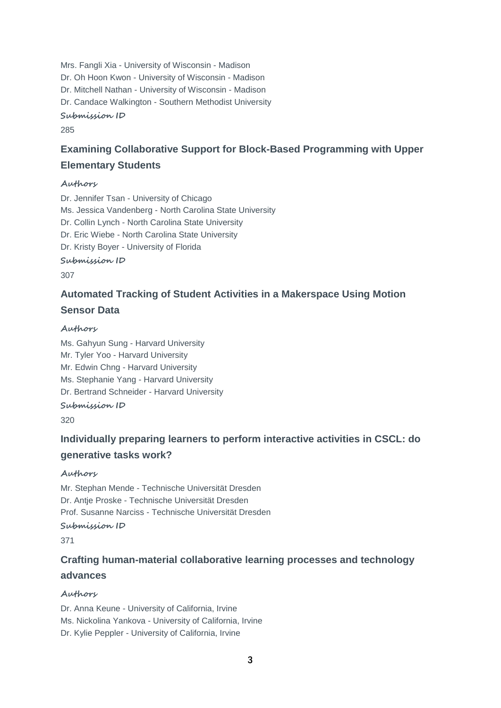Mrs. Fangli Xia - University of Wisconsin - Madison Dr. Oh Hoon Kwon - University of Wisconsin - Madison Dr. Mitchell Nathan - University of Wisconsin - Madison Dr. Candace Walkington - Southern Methodist University

### **Submission ID**

285

# **Examining Collaborative Support for Block-Based Programming with Upper Elementary Students**

#### **Authors**

Dr. Jennifer Tsan - University of Chicago Ms. Jessica Vandenberg - North Carolina State University Dr. Collin Lynch - North Carolina State University Dr. Eric Wiebe - North Carolina State University Dr. Kristy Boyer - University of Florida

**Submission ID**

307

## **Automated Tracking of Student Activities in a Makerspace Using Motion Sensor Data**

#### **Authors**

Ms. Gahyun Sung - Harvard University Mr. Tyler Yoo - Harvard University Mr. Edwin Chng - Harvard University Ms. Stephanie Yang - Harvard University Dr. Bertrand Schneider - Harvard University

**Submission ID**

320

# **Individually preparing learners to perform interactive activities in CSCL: do generative tasks work?**

### **Authors**

Mr. Stephan Mende - Technische Universität Dresden Dr. Antje Proske - Technische Universität Dresden Prof. Susanne Narciss - Technische Universität Dresden **Submission ID**

371

# **Crafting human-material collaborative learning processes and technology advances**

### **Authors**

Dr. Anna Keune - University of California, Irvine Ms. Nickolina Yankova - University of California, Irvine Dr. Kylie Peppler - University of California, Irvine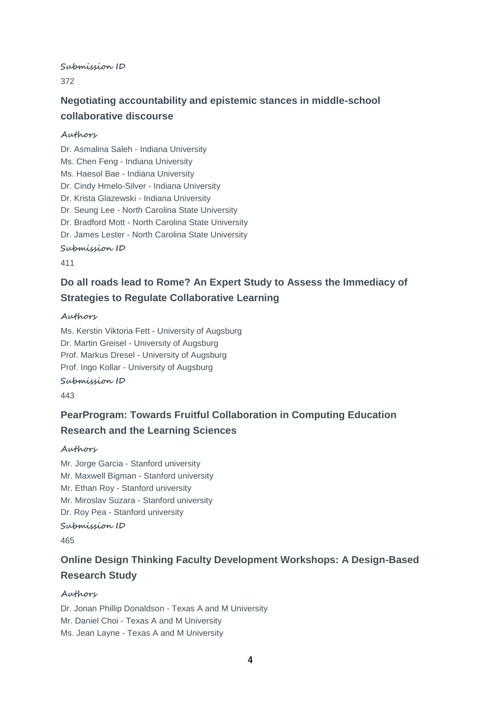#### **Submission ID**

372

## **Negotiating accountability and epistemic stances in middle-school collaborative discourse**

#### **Authors**

Dr. Asmalina Saleh - Indiana University Ms. Chen Feng - Indiana University Ms. Haesol Bae - Indiana University Dr. Cindy Hmelo-Silver - Indiana University Dr. Krista Glazewski - Indiana University Dr. Seung Lee - North Carolina State University Dr. Bradford Mott - North Carolina State University Dr. James Lester - North Carolina State University **Submission ID**

411

## **Do all roads lead to Rome? An Expert Study to Assess the Immediacy of Strategies to Regulate Collaborative Learning**

#### **Authors**

Ms. Kerstin Viktoria Fett - University of Augsburg Dr. Martin Greisel - University of Augsburg Prof. Markus Dresel - University of Augsburg Prof. Ingo Kollar - University of Augsburg **Submission ID**

443

## **PearProgram: Towards Fruitful Collaboration in Computing Education Research and the Learning Sciences**

#### **Authors**

Mr. Jorge Garcia - Stanford university Mr. Maxwell Bigman - Stanford university Mr. Ethan Roy - Stanford university Mr. Miroslav Suzara - Stanford university Dr. Roy Pea - Stanford university **Submission ID**

465

# **Online Design Thinking Faculty Development Workshops: A Design-Based Research Study**

#### **Authors**

Dr. Jonan Phillip Donaldson - Texas A and M University Mr. Daniel Choi - Texas A and M University Ms. Jean Layne - Texas A and M University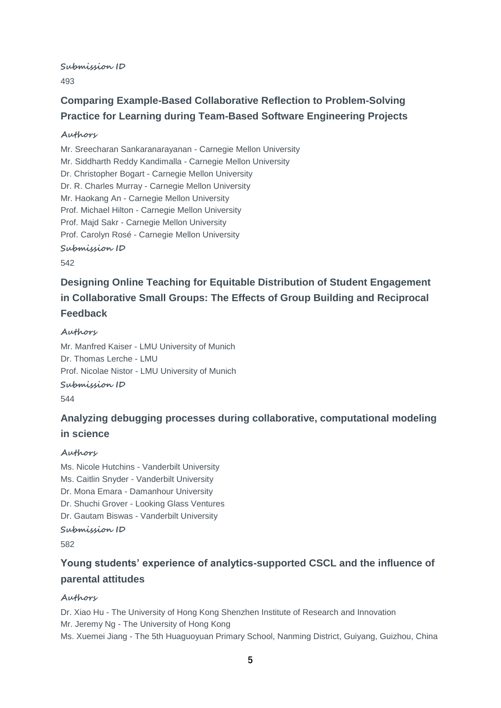**Submission ID**

493

# **Comparing Example-Based Collaborative Reflection to Problem-Solving Practice for Learning during Team-Based Software Engineering Projects**

#### **Authors**

Mr. Sreecharan Sankaranarayanan - Carnegie Mellon University Mr. Siddharth Reddy Kandimalla - Carnegie Mellon University Dr. Christopher Bogart - Carnegie Mellon University Dr. R. Charles Murray - Carnegie Mellon University Mr. Haokang An - Carnegie Mellon University Prof. Michael Hilton - Carnegie Mellon University Prof. Majd Sakr - Carnegie Mellon University Prof. Carolyn Rosé - Carnegie Mellon University **Submission ID** 542

# **Designing Online Teaching for Equitable Distribution of Student Engagement in Collaborative Small Groups: The Effects of Group Building and Reciprocal Feedback**

# **Authors**

Mr. Manfred Kaiser - LMU University of Munich Dr. Thomas Lerche - LMU Prof. Nicolae Nistor - LMU University of Munich **Submission ID**

544

# **Analyzing debugging processes during collaborative, computational modeling in science**

### **Authors**

Ms. Nicole Hutchins - Vanderbilt University Ms. Caitlin Snyder - Vanderbilt University Dr. Mona Emara - Damanhour University Dr. Shuchi Grover - Looking Glass Ventures Dr. Gautam Biswas - Vanderbilt University **Submission ID**

582

# **Young students' experience of analytics-supported CSCL and the influence of parental attitudes**

### **Authors**

Dr. Xiao Hu - The University of Hong Kong Shenzhen Institute of Research and Innovation Mr. Jeremy Ng - The University of Hong Kong Ms. Xuemei Jiang - The 5th Huaguoyuan Primary School, Nanming District, Guiyang, Guizhou, China